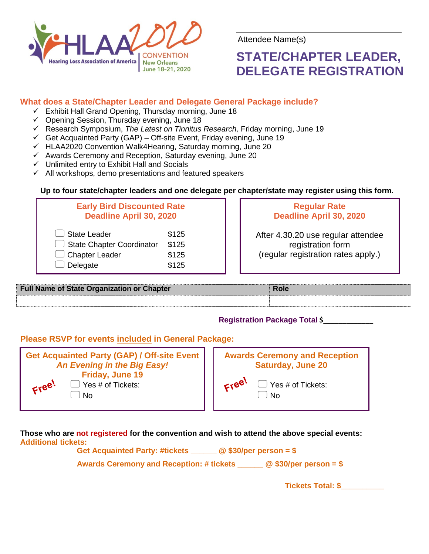

Attendee Name(s)

# **STATE/CHAPTER LEADER, DELEGATE REGISTRATION**

### **What does a State/Chapter Leader and Delegate General Package include?**

- $\checkmark$  Exhibit Hall Grand Opening, Thursday morning, June 18
- $\checkmark$  Opening Session, Thursday evening, June 18
- Research Symposium, *The Latest on Tinnitus Research,* Friday morning, June 19
- $\checkmark$  Get Acquainted Party (GAP) Off-site Event, Friday evening, June 19
- $\checkmark$  HLAA2020 Convention Walk4Hearing, Saturday morning, June 20
- $\checkmark$  Awards Ceremony and Reception, Saturday evening, June 20
- $\checkmark$  Unlimited entry to Exhibit Hall and Socials
- $\checkmark$  All workshops, demo presentations and featured speakers

### **Up to four state/chapter leaders and one delegate per chapter/state may register using this form.**

| <b>Early Bird Discounted Rate</b><br>Deadline April 30, 2020                                 |                                  | <b>Regular Rate</b><br>Deadline April 30, 2020                                                 |  |  |  |
|----------------------------------------------------------------------------------------------|----------------------------------|------------------------------------------------------------------------------------------------|--|--|--|
| $\cup$ State Leader<br>$\Box$ State Chapter Coordinator<br>$\Box$ Chapter Leader<br>Delegate | \$125<br>\$125<br>\$125<br>\$125 | After 4.30.20 use regular attendee<br>registration form<br>(regular registration rates apply.) |  |  |  |

**Full Name of State Organization or Chapter Role Role** 

# **Registration Package Total \$\_\_\_\_\_\_\_\_\_\_\_\_\_**

# **Please RSVP for events included in General Package:**



#### **Those who are not registered for the convention and wish to attend the above special events: Additional tickets:**

**Get Acquainted Party: #tickets \_\_\_\_\_\_ @ \$30/per person = \$**

**Awards Ceremony and Reception: # tickets \_\_\_\_\_\_ @ \$30/per person = \$**

**Tickets Total: \$\_\_\_\_\_\_\_\_\_\_**